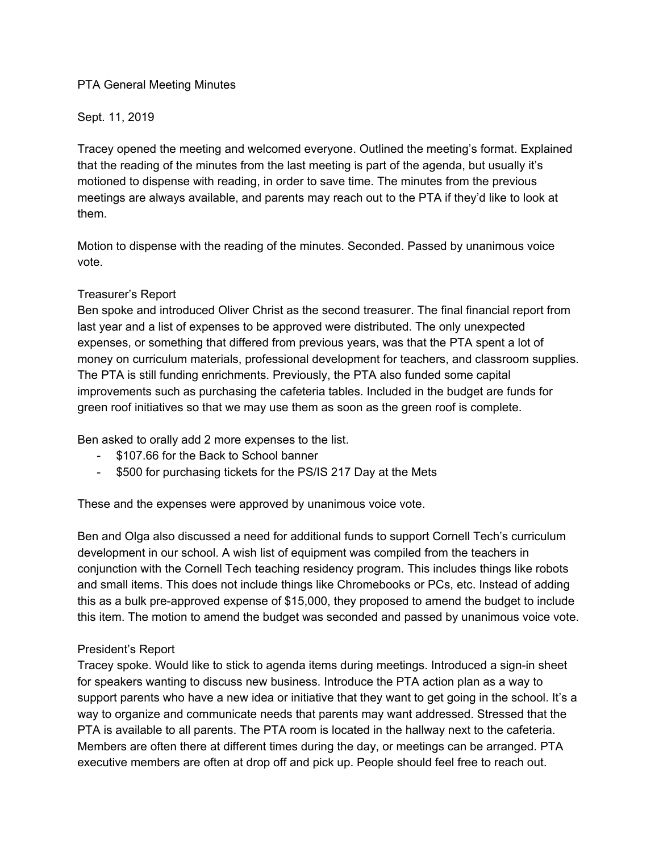### PTA General Meeting Minutes

### Sept. 11, 2019

Tracey opened the meeting and welcomed everyone. Outlined the meeting's format. Explained that the reading of the minutes from the last meeting is part of the agenda, but usually it's motioned to dispense with reading, in order to save time. The minutes from the previous meetings are always available, and parents may reach out to the PTA if they'd like to look at them.

Motion to dispense with the reading of the minutes. Seconded. Passed by unanimous voice vote.

### Treasurer's Report

Ben spoke and introduced Oliver Christ as the second treasurer. The final financial report from last year and a list of expenses to be approved were distributed. The only unexpected expenses, or something that differed from previous years, was that the PTA spent a lot of money on curriculum materials, professional development for teachers, and classroom supplies. The PTA is still funding enrichments. Previously, the PTA also funded some capital improvements such as purchasing the cafeteria tables. Included in the budget are funds for green roof initiatives so that we may use them as soon as the green roof is complete.

Ben asked to orally add 2 more expenses to the list.

- \$107.66 for the Back to School banner
- \$500 for purchasing tickets for the PS/IS 217 Day at the Mets

These and the expenses were approved by unanimous voice vote.

Ben and Olga also discussed a need for additional funds to support Cornell Tech's curriculum development in our school. A wish list of equipment was compiled from the teachers in conjunction with the Cornell Tech teaching residency program. This includes things like robots and small items. This does not include things like Chromebooks or PCs, etc. Instead of adding this as a bulk pre-approved expense of \$15,000, they proposed to amend the budget to include this item. The motion to amend the budget was seconded and passed by unanimous voice vote.

# President's Report

Tracey spoke. Would like to stick to agenda items during meetings. Introduced a sign-in sheet for speakers wanting to discuss new business. Introduce the PTA action plan as a way to support parents who have a new idea or initiative that they want to get going in the school. It's a way to organize and communicate needs that parents may want addressed. Stressed that the PTA is available to all parents. The PTA room is located in the hallway next to the cafeteria. Members are often there at different times during the day, or meetings can be arranged. PTA executive members are often at drop off and pick up. People should feel free to reach out.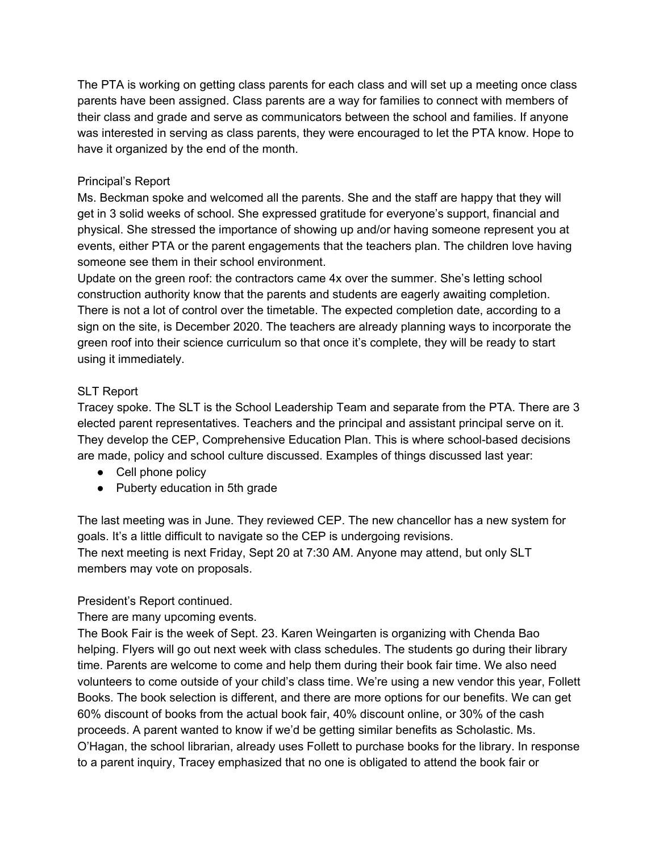The PTA is working on getting class parents for each class and will set up a meeting once class parents have been assigned. Class parents are a way for families to connect with members of their class and grade and serve as communicators between the school and families. If anyone was interested in serving as class parents, they were encouraged to let the PTA know. Hope to have it organized by the end of the month.

# Principal's Report

Ms. Beckman spoke and welcomed all the parents. She and the staff are happy that they will get in 3 solid weeks of school. She expressed gratitude for everyone's support, financial and physical. She stressed the importance of showing up and/or having someone represent you at events, either PTA or the parent engagements that the teachers plan. The children love having someone see them in their school environment.

Update on the green roof: the contractors came 4x over the summer. She's letting school construction authority know that the parents and students are eagerly awaiting completion. There is not a lot of control over the timetable. The expected completion date, according to a sign on the site, is December 2020. The teachers are already planning ways to incorporate the green roof into their science curriculum so that once it's complete, they will be ready to start using it immediately.

# SLT Report

Tracey spoke. The SLT is the School Leadership Team and separate from the PTA. There are 3 elected parent representatives. Teachers and the principal and assistant principal serve on it. They develop the CEP, Comprehensive Education Plan. This is where school-based decisions are made, policy and school culture discussed. Examples of things discussed last year:

- Cell phone policy
- Puberty education in 5th grade

The last meeting was in June. They reviewed CEP. The new chancellor has a new system for goals. It's a little difficult to navigate so the CEP is undergoing revisions. The next meeting is next Friday, Sept 20 at 7:30 AM. Anyone may attend, but only SLT members may vote on proposals.

### President's Report continued.

There are many upcoming events.

The Book Fair is the week of Sept. 23. Karen Weingarten is organizing with Chenda Bao helping. Flyers will go out next week with class schedules. The students go during their library time. Parents are welcome to come and help them during their book fair time. We also need volunteers to come outside of your child's class time. We're using a new vendor this year, Follett Books. The book selection is different, and there are more options for our benefits. We can get 60% discount of books from the actual book fair, 40% discount online, or 30% of the cash proceeds. A parent wanted to know if we'd be getting similar benefits as Scholastic. Ms. O'Hagan, the school librarian, already uses Follett to purchase books for the library. In response to a parent inquiry, Tracey emphasized that no one is obligated to attend the book fair or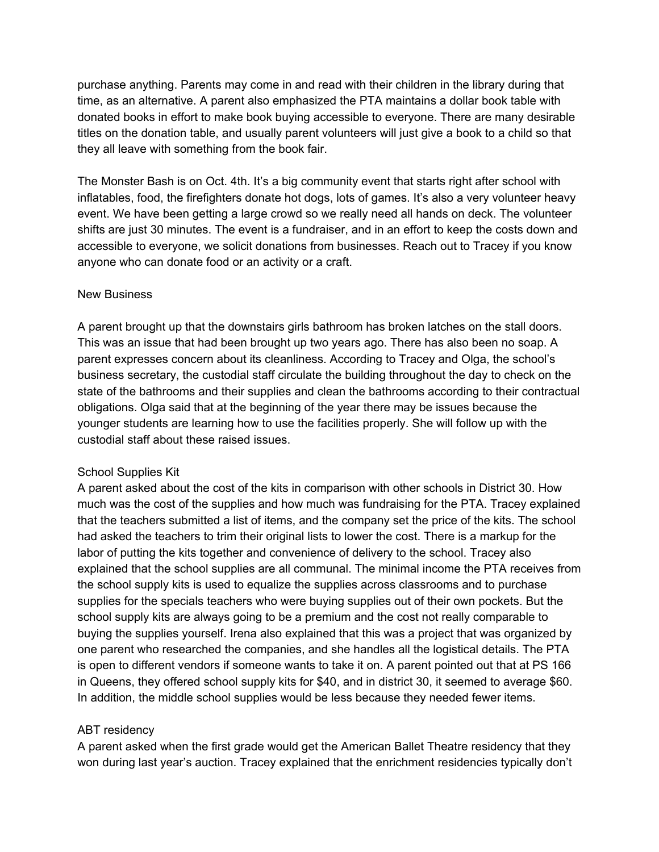purchase anything. Parents may come in and read with their children in the library during that time, as an alternative. A parent also emphasized the PTA maintains a dollar book table with donated books in effort to make book buying accessible to everyone. There are many desirable titles on the donation table, and usually parent volunteers will just give a book to a child so that they all leave with something from the book fair.

The Monster Bash is on Oct. 4th. It's a big community event that starts right after school with inflatables, food, the firefighters donate hot dogs, lots of games. It's also a very volunteer heavy event. We have been getting a large crowd so we really need all hands on deck. The volunteer shifts are just 30 minutes. The event is a fundraiser, and in an effort to keep the costs down and accessible to everyone, we solicit donations from businesses. Reach out to Tracey if you know anyone who can donate food or an activity or a craft.

#### New Business

A parent brought up that the downstairs girls bathroom has broken latches on the stall doors. This was an issue that had been brought up two years ago. There has also been no soap. A parent expresses concern about its cleanliness. According to Tracey and Olga, the school's business secretary, the custodial staff circulate the building throughout the day to check on the state of the bathrooms and their supplies and clean the bathrooms according to their contractual obligations. Olga said that at the beginning of the year there may be issues because the younger students are learning how to use the facilities properly. She will follow up with the custodial staff about these raised issues.

### School Supplies Kit

A parent asked about the cost of the kits in comparison with other schools in District 30. How much was the cost of the supplies and how much was fundraising for the PTA. Tracey explained that the teachers submitted a list of items, and the company set the price of the kits. The school had asked the teachers to trim their original lists to lower the cost. There is a markup for the labor of putting the kits together and convenience of delivery to the school. Tracey also explained that the school supplies are all communal. The minimal income the PTA receives from the school supply kits is used to equalize the supplies across classrooms and to purchase supplies for the specials teachers who were buying supplies out of their own pockets. But the school supply kits are always going to be a premium and the cost not really comparable to buying the supplies yourself. Irena also explained that this was a project that was organized by one parent who researched the companies, and she handles all the logistical details. The PTA is open to different vendors if someone wants to take it on. A parent pointed out that at PS 166 in Queens, they offered school supply kits for \$40, and in district 30, it seemed to average \$60. In addition, the middle school supplies would be less because they needed fewer items.

### ABT residency

A parent asked when the first grade would get the American Ballet Theatre residency that they won during last year's auction. Tracey explained that the enrichment residencies typically don't